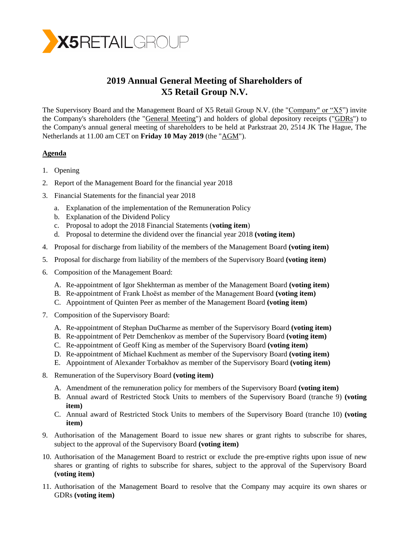

# **2019 Annual General Meeting of Shareholders of X5 Retail Group N.V.**

The Supervisory Board and the Management Board of X5 Retail Group N.V. (the "Company" or "X5") invite the Company's shareholders (the "General Meeting") and holders of global depository receipts ("GDRs") to the Company's annual general meeting of shareholders to be held at Parkstraat 20, 2514 JK The Hague, The Netherlands at 11.00 am CET on **Friday 10 May 2019** (the "AGM").

# **Agenda**

- 1. Opening
- 2. Report of the Management Board for the financial year 2018
- 3. Financial Statements for the financial year 2018
	- a. Explanation of the implementation of the Remuneration Policy
	- b. Explanation of the Dividend Policy
	- c. Proposal to adopt the 2018 Financial Statements (**voting item**)
	- d. Proposal to determine the dividend over the financial year 2018 **(voting item)**
- 4. Proposal for discharge from liability of the members of the Management Board **(voting item)**
- 5. Proposal for discharge from liability of the members of the Supervisory Board **(voting item)**
- 6. Composition of the Management Board:
	- A. Re-appointment of Igor Shekhterman as member of the Management Board **(voting item)**
	- B. Re-appointment of Frank Lhoëst as member of the Management Board **(voting item)**
	- C. Appointment of Quinten Peer as member of the Management Board **(voting item)**
- 7. Composition of the Supervisory Board:
	- A. Re-appointment of Stephan DuCharme as member of the Supervisory Board **(voting item)**
	- B. Re-appointment of Petr Demchenkov as member of the Supervisory Board **(voting item)**
	- C. Re-appointment of Geoff King as member of the Supervisory Board **(voting item)**
	- D. Re-appointment of Michael Kuchment as member of the Supervisory Board **(voting item)**
	- E. Appointment of Alexander Torbakhov as member of the Supervisory Board **(voting item)**
- 8. Remuneration of the Supervisory Board **(voting item)**
	- A. Amendment of the remuneration policy for members of the Supervisory Board **(voting item)**
	- B. Annual award of Restricted Stock Units to members of the Supervisory Board (tranche 9) **(voting item)**
	- C. Annual award of Restricted Stock Units to members of the Supervisory Board (tranche 10) **(voting item)**
- 9. Authorisation of the Management Board to issue new shares or grant rights to subscribe for shares, subject to the approval of the Supervisory Board **(voting item)**
- 10. Authorisation of the Management Board to restrict or exclude the pre-emptive rights upon issue of new shares or granting of rights to subscribe for shares, subject to the approval of the Supervisory Board **(voting item)**
- 11. Authorisation of the Management Board to resolve that the Company may acquire its own shares or GDRs **(voting item)**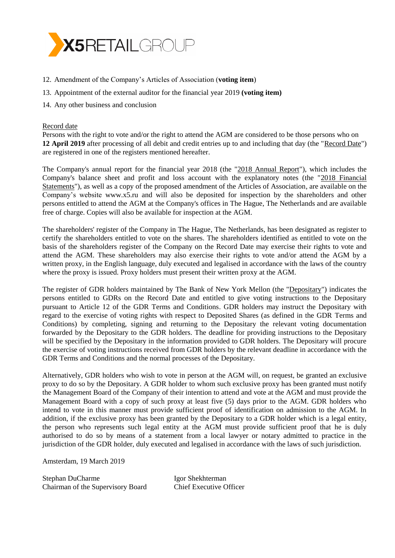

- 12. Amendment of the Company's Articles of Association (**voting item**)
- 13. Appointment of the external auditor for the financial year 2019 **(voting item)**
- 14. Any other business and conclusion

#### Record date

Persons with the right to vote and/or the right to attend the AGM are considered to be those persons who on **12 April 2019** after processing of all debit and credit entries up to and including that day (the "Record Date") are registered in one of the registers mentioned hereafter.

The Company's annual report for the financial year 2018 (the "2018 Annual Report"), which includes the Company's balance sheet and profit and loss account with the explanatory notes (the "2018 Financial Statements"), as well as a copy of the proposed amendment of the Articles of Association, are available on the Company's website [www.x5.ru](http://www.x5.ru/) and will also be deposited for inspection by the shareholders and other persons entitled to attend the AGM at the Company's offices in The Hague, The Netherlands and are available free of charge. Copies will also be available for inspection at the AGM.

The shareholders' register of the Company in The Hague, The Netherlands, has been designated as register to certify the shareholders entitled to vote on the shares. The shareholders identified as entitled to vote on the basis of the shareholders register of the Company on the Record Date may exercise their rights to vote and attend the AGM. These shareholders may also exercise their rights to vote and/or attend the AGM by a written proxy, in the English language, duly executed and legalised in accordance with the laws of the country where the proxy is issued. Proxy holders must present their written proxy at the AGM.

The register of GDR holders maintained by The Bank of New York Mellon (the "Depositary") indicates the persons entitled to GDRs on the Record Date and entitled to give voting instructions to the Depositary pursuant to Article 12 of the GDR Terms and Conditions. GDR holders may instruct the Depositary with regard to the exercise of voting rights with respect to Deposited Shares (as defined in the GDR Terms and Conditions) by completing, signing and returning to the Depositary the relevant voting documentation forwarded by the Depositary to the GDR holders. The deadline for providing instructions to the Depositary will be specified by the Depositary in the information provided to GDR holders. The Depositary will procure the exercise of voting instructions received from GDR holders by the relevant deadline in accordance with the GDR Terms and Conditions and the normal processes of the Depositary.

Alternatively, GDR holders who wish to vote in person at the AGM will, on request, be granted an exclusive proxy to do so by the Depositary. A GDR holder to whom such exclusive proxy has been granted must notify the Management Board of the Company of their intention to attend and vote at the AGM and must provide the Management Board with a copy of such proxy at least five (5) days prior to the AGM. GDR holders who intend to vote in this manner must provide sufficient proof of identification on admission to the AGM. In addition, if the exclusive proxy has been granted by the Depositary to a GDR holder which is a legal entity, the person who represents such legal entity at the AGM must provide sufficient proof that he is duly authorised to do so by means of a statement from a local lawyer or notary admitted to practice in the jurisdiction of the GDR holder, duly executed and legalised in accordance with the laws of such jurisdiction.

Amsterdam, 19 March 2019

Stephan DuCharme Igor Shekhterman Chairman of the Supervisory Board Chief Executive Officer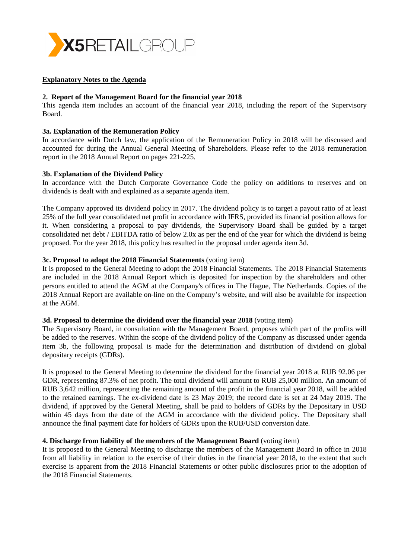

## **Explanatory Notes to the Agenda**

## **2. Report of the Management Board for the financial year 2018**

This agenda item includes an account of the financial year 2018, including the report of the Supervisory Board.

#### **3a. Explanation of the Remuneration Policy**

In accordance with Dutch law, the application of the Remuneration Policy in 2018 will be discussed and accounted for during the Annual General Meeting of Shareholders. Please refer to the 2018 remuneration report in the 2018 Annual Report on pages 221-225.

#### **3b. Explanation of the Dividend Policy**

In accordance with the Dutch Corporate Governance Code the policy on additions to reserves and on dividends is dealt with and explained as a separate agenda item.

The Company approved its dividend policy in 2017. The dividend policy is to target a payout ratio of at least 25% of the full year consolidated net profit in accordance with IFRS, provided its financial position allows for it. When considering a proposal to pay dividends, the Supervisory Board shall be guided by a target consolidated net debt / EBITDA ratio of below 2.0x as per the end of the year for which the dividend is being proposed. For the year 2018, this policy has resulted in the proposal under agenda item 3d.

## **3c. Proposal to adopt the 2018 Financial Statements** (voting item)

It is proposed to the General Meeting to adopt the 2018 Financial Statements. The 2018 Financial Statements are included in the 2018 Annual Report which is deposited for inspection by the shareholders and other persons entitled to attend the AGM at the Company's offices in The Hague, The Netherlands. Copies of the 2018 Annual Report are available on-line on the Company's website, and will also be available for inspection at the AGM.

#### **3d. Proposal to determine the dividend over the financial year 2018** (voting item)

The Supervisory Board, in consultation with the Management Board, proposes which part of the profits will be added to the reserves. Within the scope of the dividend policy of the Company as discussed under agenda item 3b, the following proposal is made for the determination and distribution of dividend on global depositary receipts (GDRs).

It is proposed to the General Meeting to determine the dividend for the financial year 2018 at RUB 92.06 per GDR, representing 87.3% of net profit. The total dividend will amount to RUB 25,000 million. An amount of RUB 3,642 million, representing the remaining amount of the profit in the financial year 2018, will be added to the retained earnings. The ex-dividend date is 23 May 2019; the record date is set at 24 May 2019. The dividend, if approved by the General Meeting, shall be paid to holders of GDRs by the Depositary in USD within 45 days from the date of the AGM in accordance with the dividend policy. The Depositary shall announce the final payment date for holders of GDRs upon the RUB/USD conversion date.

#### **4. Discharge from liability of the members of the Management Board** (voting item)

It is proposed to the General Meeting to discharge the members of the Management Board in office in 2018 from all liability in relation to the exercise of their duties in the financial year 2018, to the extent that such exercise is apparent from the 2018 Financial Statements or other public disclosures prior to the adoption of the 2018 Financial Statements.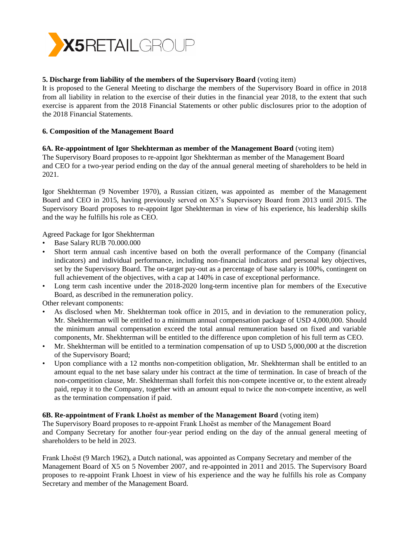

# **5. Discharge from liability of the members of the Supervisory Board** (voting item)

It is proposed to the General Meeting to discharge the members of the Supervisory Board in office in 2018 from all liability in relation to the exercise of their duties in the financial year 2018, to the extent that such exercise is apparent from the 2018 Financial Statements or other public disclosures prior to the adoption of the 2018 Financial Statements.

## **6. Composition of the Management Board**

## **6A. Re-appointment of Igor Shekhterman as member of the Management Board** (voting item)

The Supervisory Board proposes to re-appoint Igor Shekhterman as member of the Management Board and CEO for a two-year period ending on the day of the annual general meeting of shareholders to be held in 2021.

Igor Shekhterman (9 November 1970), a Russian citizen, was appointed as member of the Management Board and CEO in 2015, having previously served on X5's Supervisory Board from 2013 until 2015. The Supervisory Board proposes to re-appoint Igor Shekhterman in view of his experience, his leadership skills and the way he fulfills his role as CEO.

Agreed Package for Igor Shekhterman

- Base Salary RUB 70.000.000
- Short term annual cash incentive based on both the overall performance of the Company (financial indicators) and individual performance, including non-financial indicators and personal key objectives, set by the Supervisory Board. The on-target pay-out as a percentage of base salary is 100%, contingent on full achievement of the objectives, with a cap at 140% in case of exceptional performance.
- Long term cash incentive under the 2018-2020 long-term incentive plan for members of the Executive Board, as described in the remuneration policy.

Other relevant components:

- As disclosed when Mr. Shekhterman took office in 2015, and in deviation to the remuneration policy, Mr. Shekhterman will be entitled to a minimum annual compensation package of USD 4,000,000. Should the minimum annual compensation exceed the total annual remuneration based on fixed and variable components, Mr. Shekhterman will be entitled to the difference upon completion of his full term as CEO.
- Mr. Shekhterman will be entitled to a termination compensation of up to USD 5,000,000 at the discretion of the Supervisory Board;
- Upon compliance with a 12 months non-competition obligation, Mr. Shekhterman shall be entitled to an amount equal to the net base salary under his contract at the time of termination. In case of breach of the non-competition clause, Mr. Shekhterman shall forfeit this non-compete incentive or, to the extent already paid, repay it to the Company, together with an amount equal to twice the non-compete incentive, as well as the termination compensation if paid.

#### **6B. Re-appointment of Frank Lhoëst as member of the Management Board** (voting item)

The Supervisory Board proposes to re-appoint Frank Lhoëst as member of the Management Board and Company Secretary for another four-year period ending on the day of the annual general meeting of shareholders to be held in 2023.

Frank Lhoëst (9 March 1962), a Dutch national, was appointed as Company Secretary and member of the Management Board of X5 on 5 November 2007, and re-appointed in 2011 and 2015. The Supervisory Board proposes to re-appoint Frank Lhoest in view of his experience and the way he fulfills his role as Company Secretary and member of the Management Board.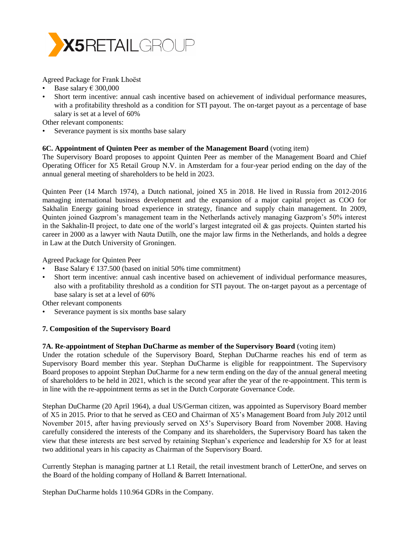

Agreed Package for Frank Lhoëst

- Base salary  $\epsilon$  300,000
- Short term incentive: annual cash incentive based on achievement of individual performance measures, with a profitability threshold as a condition for STI payout. The on-target payout as a percentage of base salary is set at a level of 60%

Other relevant components:

Severance payment is six months base salary

## **6C. Appointment of Quinten Peer as member of the Management Board** (voting item)

The Supervisory Board proposes to appoint Quinten Peer as member of the Management Board and Chief Operating Officer for X5 Retail Group N.V. in Amsterdam for a four-year period ending on the day of the annual general meeting of shareholders to be held in 2023.

Quinten Peer (14 March 1974), a Dutch national, joined X5 in 2018. He lived in Russia from 2012-2016 managing international business development and the expansion of a major capital project as COO for Sakhalin Energy gaining broad experience in strategy, finance and supply chain management. In 2009, Quinten joined Gazprom's management team in the Netherlands actively managing Gazprom's 50% interest in the Sakhalin-II project, to date one of the world's largest integrated oil & gas projects. Quinten started his career in 2000 as a lawyer with Nauta Dutilh, one the major law firms in the Netherlands, and holds a degree in Law at the Dutch University of Groningen.

Agreed Package for Quinten Peer

- Base Salary  $\epsilon$  137.500 (based on initial 50% time commitment)
- Short term incentive: annual cash incentive based on achievement of individual performance measures, also with a profitability threshold as a condition for STI payout. The on-target payout as a percentage of base salary is set at a level of 60%

Other relevant components

Severance payment is six months base salary

# **7. Composition of the Supervisory Board**

#### **7A. Re-appointment of Stephan DuCharme as member of the Supervisory Board** (voting item)

Under the rotation schedule of the Supervisory Board, Stephan DuCharme reaches his end of term as Supervisory Board member this year. Stephan DuCharme is eligible for reappointment. The Supervisory Board proposes to appoint Stephan DuCharme for a new term ending on the day of the annual general meeting of shareholders to be held in 2021, which is the second year after the year of the re-appointment. This term is in line with the re-appointment terms as set in the Dutch Corporate Governance Code.

Stephan DuCharme (20 April 1964), a dual US/German citizen, was appointed as Supervisory Board member of X5 in 2015. Prior to that he served as CEO and Chairman of X5's Management Board from July 2012 until November 2015, after having previously served on X5's Supervisory Board from November 2008. Having carefully considered the interests of the Company and its shareholders, the Supervisory Board has taken the view that these interests are best served by retaining Stephan's experience and leadership for X5 for at least two additional years in his capacity as Chairman of the Supervisory Board.

Currently Stephan is managing partner at L1 Retail, the retail investment branch of LetterOne, and serves on the Board of the holding company of Holland & Barrett International.

Stephan DuCharme holds 110.964 GDRs in the Company.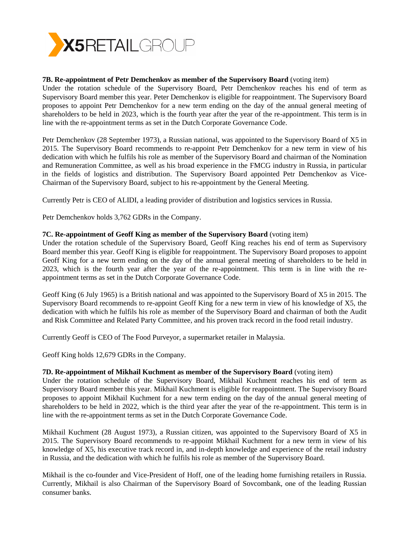

## **7B. Re-appointment of Petr Demchenkov as member of the Supervisory Board** (voting item)

Under the rotation schedule of the Supervisory Board, Petr Demchenkov reaches his end of term as Supervisory Board member this year. Peter Demchenkov is eligible for reappointment. The Supervisory Board proposes to appoint Petr Demchenkov for a new term ending on the day of the annual general meeting of shareholders to be held in 2023, which is the fourth year after the year of the re-appointment. This term is in line with the re-appointment terms as set in the Dutch Corporate Governance Code.

Petr Demchenkov (28 September 1973), a Russian national, was appointed to the Supervisory Board of X5 in 2015. The Supervisory Board recommends to re-appoint Petr Demchenkov for a new term in view of his dedication with which he fulfils his role as member of the Supervisory Board and chairman of the Nomination and Remuneration Committee, as well as his broad experience in the FMCG industry in Russia, in particular in the fields of logistics and distribution. The Supervisory Board appointed Petr Demchenkov as Vice-Chairman of the Supervisory Board, subject to his re-appointment by the General Meeting.

Currently Petr is CEO of ALIDI, a leading provider of distribution and logistics services in Russia.

Petr Demchenkov holds 3,762 GDRs in the Company.

## **7C. Re-appointment of Geoff King as member of the Supervisory Board** (voting item)

Under the rotation schedule of the Supervisory Board, Geoff King reaches his end of term as Supervisory Board member this year. Geoff King is eligible for reappointment. The Supervisory Board proposes to appoint Geoff King for a new term ending on the day of the annual general meeting of shareholders to be held in 2023, which is the fourth year after the year of the re-appointment. This term is in line with the reappointment terms as set in the Dutch Corporate Governance Code.

Geoff King (6 July 1965) is a British national and was appointed to the Supervisory Board of X5 in 2015. The Supervisory Board recommends to re-appoint Geoff King for a new term in view of his knowledge of X5, the dedication with which he fulfils his role as member of the Supervisory Board and chairman of both the Audit and Risk Committee and Related Party Committee, and his proven track record in the food retail industry.

Currently Geoff is CEO of The Food Purveyor, a supermarket retailer in Malaysia.

Geoff King holds 12,679 GDRs in the Company.

#### **7D. Re-appointment of Mikhail Kuchment as member of the Supervisory Board** (voting item)

Under the rotation schedule of the Supervisory Board, Mikhail Kuchment reaches his end of term as Supervisory Board member this year. Mikhail Kuchment is eligible for reappointment. The Supervisory Board proposes to appoint Mikhail Kuchment for a new term ending on the day of the annual general meeting of shareholders to be held in 2022, which is the third year after the year of the re-appointment. This term is in line with the re-appointment terms as set in the Dutch Corporate Governance Code.

Mikhail Kuchment (28 August 1973), a Russian citizen, was appointed to the Supervisory Board of X5 in 2015. The Supervisory Board recommends to re-appoint Mikhail Kuchment for a new term in view of his knowledge of X5, his executive track record in, and in-depth knowledge and experience of the retail industry in Russia, and the dedication with which he fulfils his role as member of the Supervisory Board.

Mikhail is the co-founder and Vice-President of Hoff, one of the leading home furnishing retailers in Russia. Currently, Mikhail is also Chairman of the Supervisory Board of Sovcombank, one of the leading Russian consumer banks.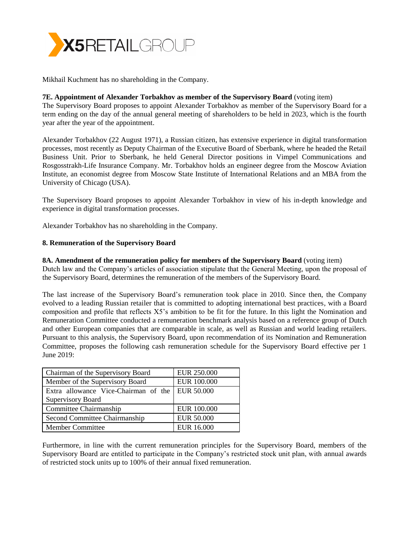

Mikhail Kuchment has no shareholding in the Company.

## **7E. Appointment of Alexander Torbakhov as member of the Supervisory Board** (voting item)

The Supervisory Board proposes to appoint Alexander Torbakhov as member of the Supervisory Board for a term ending on the day of the annual general meeting of shareholders to be held in 2023, which is the fourth year after the year of the appointment.

Alexander Torbakhov (22 August 1971), a Russian citizen, has extensive experience in digital transformation processes, most recently as Deputy Chairman of the Executive Board of Sberbank, where he headed the Retail Business Unit. Prior to Sberbank, he held General Director positions in Vimpel Communications and Rosgosstrakh-Life Insurance Company. Mr. Torbakhov holds an engineer degree from the Moscow Aviation Institute, an economist degree from Moscow State Institute of International Relations and an MBA from the University of Chicago (USA).

The Supervisory Board proposes to appoint Alexander Torbakhov in view of his in-depth knowledge and experience in digital transformation processes.

Alexander Torbakhov has no shareholding in the Company.

## **8. Remuneration of the Supervisory Board**

#### **8A. Amendment of the remuneration policy for members of the Supervisory Board** (voting item)

Dutch law and the Company's articles of association stipulate that the General Meeting, upon the proposal of the Supervisory Board, determines the remuneration of the members of the Supervisory Board.

The last increase of the Supervisory Board's remuneration took place in 2010. Since then, the Company evolved to a leading Russian retailer that is committed to adopting international best practices, with a Board composition and profile that reflects X5's ambition to be fit for the future. In this light the Nomination and Remuneration Committee conducted a remuneration benchmark analysis based on a reference group of Dutch and other European companies that are comparable in scale, as well as Russian and world leading retailers. Pursuant to this analysis, the Supervisory Board, upon recommendation of its Nomination and Remuneration Committee, proposes the following cash remuneration schedule for the Supervisory Board effective per 1 June 2019:

| Chairman of the Supervisory Board    | <b>EUR 250.000</b> |
|--------------------------------------|--------------------|
| Member of the Supervisory Board      | <b>EUR 100.000</b> |
| Extra allowance Vice-Chairman of the | <b>EUR 50.000</b>  |
| <b>Supervisory Board</b>             |                    |
| Committee Chairmanship               | <b>EUR 100.000</b> |
| Second Committee Chairmanship        | <b>EUR 50.000</b>  |
| <b>Member Committee</b>              | <b>EUR 16.000</b>  |

Furthermore, in line with the current remuneration principles for the Supervisory Board, members of the Supervisory Board are entitled to participate in the Company's restricted stock unit plan, with annual awards of restricted stock units up to 100% of their annual fixed remuneration.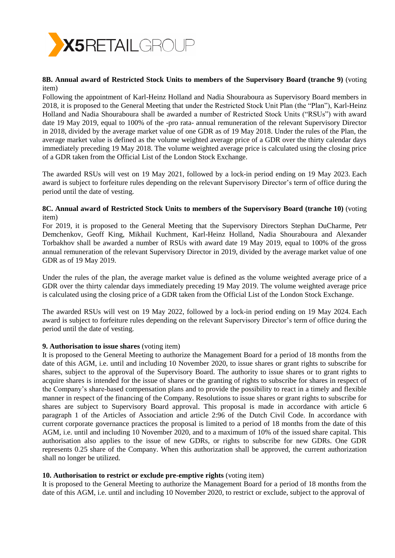

## **8B. Annual award of Restricted Stock Units to members of the Supervisory Board (tranche 9)** (voting item)

Following the appointment of Karl-Heinz Holland and Nadia Shouraboura as Supervisory Board members in 2018, it is proposed to the General Meeting that under the Restricted Stock Unit Plan (the "Plan"), Karl-Heinz Holland and Nadia Shouraboura shall be awarded a number of Restricted Stock Units ("RSUs") with award date 19 May 2019, equal to 100% of the -pro rata- annual remuneration of the relevant Supervisory Director in 2018, divided by the average market value of one GDR as of 19 May 2018. Under the rules of the Plan, the average market value is defined as the volume weighted average price of a GDR over the thirty calendar days immediately preceding 19 May 2018. The volume weighted average price is calculated using the closing price of a GDR taken from the Official List of the London Stock Exchange.

The awarded RSUs will vest on 19 May 2021, followed by a lock-in period ending on 19 May 2023. Each award is subject to forfeiture rules depending on the relevant Supervisory Director's term of office during the period until the date of vesting.

#### **8C. Annual award of Restricted Stock Units to members of the Supervisory Board (tranche 10)** (voting item)

For 2019, it is proposed to the General Meeting that the Supervisory Directors Stephan DuCharme, Petr Demchenkov, Geoff King, Mikhail Kuchment, Karl-Heinz Holland, Nadia Shouraboura and Alexander Torbakhov shall be awarded a number of RSUs with award date 19 May 2019, equal to 100% of the gross annual remuneration of the relevant Supervisory Director in 2019, divided by the average market value of one GDR as of 19 May 2019.

Under the rules of the plan, the average market value is defined as the volume weighted average price of a GDR over the thirty calendar days immediately preceding 19 May 2019. The volume weighted average price is calculated using the closing price of a GDR taken from the Official List of the London Stock Exchange.

The awarded RSUs will vest on 19 May 2022, followed by a lock-in period ending on 19 May 2024. Each award is subject to forfeiture rules depending on the relevant Supervisory Director's term of office during the period until the date of vesting.

#### **9. Authorisation to issue shares** (voting item)

It is proposed to the General Meeting to authorize the Management Board for a period of 18 months from the date of this AGM, i.e. until and including 10 November 2020, to issue shares or grant rights to subscribe for shares, subject to the approval of the Supervisory Board. The authority to issue shares or to grant rights to acquire shares is intended for the issue of shares or the granting of rights to subscribe for shares in respect of the Company's share-based compensation plans and to provide the possibility to react in a timely and flexible manner in respect of the financing of the Company. Resolutions to issue shares or grant rights to subscribe for shares are subject to Supervisory Board approval. This proposal is made in accordance with article 6 paragraph 1 of the Articles of Association and article 2:96 of the Dutch Civil Code. In accordance with current corporate governance practices the proposal is limited to a period of 18 months from the date of this AGM, i.e. until and including 10 November 2020, and to a maximum of 10% of the issued share capital. This authorisation also applies to the issue of new GDRs, or rights to subscribe for new GDRs. One GDR represents 0.25 share of the Company. When this authorization shall be approved, the current authorization shall no longer be utilized.

#### **10. Authorisation to restrict or exclude pre-emptive rights** (voting item)

It is proposed to the General Meeting to authorize the Management Board for a period of 18 months from the date of this AGM, i.e. until and including 10 November 2020, to restrict or exclude, subject to the approval of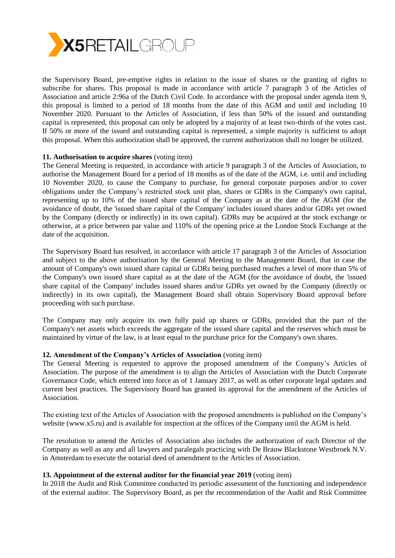

the Supervisory Board, pre-emptive rights in relation to the issue of shares or the granting of rights to subscribe for shares. This proposal is made in accordance with article 7 paragraph 3 of the Articles of Association and article 2:96a of the Dutch Civil Code. In accordance with the proposal under agenda item 9, this proposal is limited to a period of 18 months from the date of this AGM and until and including 10 November 2020. Pursuant to the Articles of Association, if less than 50% of the issued and outstanding capital is represented, this proposal can only be adopted by a majority of at least two-thirds of the votes cast. If 50% or more of the issued and outstanding capital is represented, a simple majority is sufficient to adopt this proposal. When this authorization shall be approved, the current authorization shall no longer be utilized.

#### **11. Authorisation to acquire shares** (voting item)

The General Meeting is requested, in accordance with article 9 paragraph 3 of the Articles of Association, to authorise the Management Board for a period of 18 months as of the date of the AGM, i.e. until and including 10 November 2020, to cause the Company to purchase, for general corporate purposes and/or to cover obligations under the Company's restricted stock unit plan, shares or GDRs in the Company's own capital, representing up to 10% of the issued share capital of the Company as at the date of the AGM (for the avoidance of doubt, the 'issued share capital of the Company' includes issued shares and/or GDRs yet owned by the Company (directly or indirectly) in its own capital). GDRs may be acquired at the stock exchange or otherwise, at a price between par value and 110% of the opening price at the London Stock Exchange at the date of the acquisition.

The Supervisory Board has resolved, in accordance with article 17 paragraph 3 of the Articles of Association and subject to the above authorisation by the General Meeting to the Management Board, that in case the amount of Company's own issued share capital or GDRs being purchased reaches a level of more than 5% of the Company's own issued share capital as at the date of the AGM (for the avoidance of doubt, the 'issued share capital of the Company' includes issued shares and/or GDRs yet owned by the Company (directly or indirectly) in its own capital), the Management Board shall obtain Supervisory Board approval before proceeding with such purchase.

The Company may only acquire its own fully paid up shares or GDRs, provided that the part of the Company's net assets which exceeds the aggregate of the issued share capital and the reserves which must be maintained by virtue of the law, is at least equal to the purchase price for the Company's own shares.

#### **12. Amendment of the Company's Articles of Association** (voting item)

The General Meeting is requested to approve the proposed amendment of the Company's Articles of Association. The purpose of the amendment is to align the Articles of Association with the Dutch Corporate Governance Code, which entered into force as of 1 January 2017, as well as other corporate legal updates and current best practices. The Supervisory Board has granted its approval for the amendment of the Articles of Association.

The existing text of the Articles of Association with the proposed amendments is published on the Company's website (www.x5.ru) and is available for inspection at the offices of the Company until the AGM is held.

The resolution to amend the Articles of Association also includes the authorization of each Director of the Company as well as any and all lawyers and paralegals practicing with De Brauw Blackstone Westbroek N.V. in Amsterdam to execute the notarial deed of amendment to the Articles of Association.

#### **13. Appointment of the external auditor for the financial year 2019** (voting item)

In 2018 the Audit and Risk Committee conducted its periodic assessment of the functioning and independence of the external auditor. The Supervisory Board, as per the recommendation of the Audit and Risk Committee